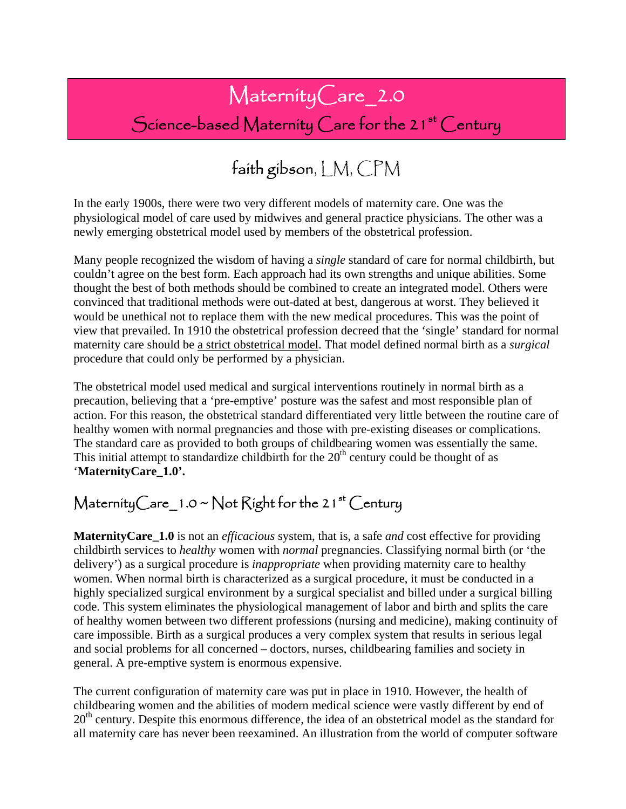# MaternityCare\_2.0

### Science-based Maternity Care for the 21<sup>st</sup> Century

## faith gibson, LM, CPM

In the early 1900s, there were two very different models of maternity care. One was the physiological model of care used by midwives and general practice physicians. The other was a newly emerging obstetrical model used by members of the obstetrical profession.

Many people recognized the wisdom of having a *single* standard of care for normal childbirth, but couldn't agree on the best form. Each approach had its own strengths and unique abilities. Some thought the best of both methods should be combined to create an integrated model. Others were convinced that traditional methods were out-dated at best, dangerous at worst. They believed it would be unethical not to replace them with the new medical procedures. This was the point of view that prevailed. In 1910 the obstetrical profession decreed that the 'single' standard for normal maternity care should be a strict obstetrical model. That model defined normal birth as a *surgical* procedure that could only be performed by a physician.

The obstetrical model used medical and surgical interventions routinely in normal birth as a precaution, believing that a 'pre-emptive' posture was the safest and most responsible plan of action. For this reason, the obstetrical standard differentiated very little between the routine care of healthy women with normal pregnancies and those with pre-existing diseases or complications. The standard care as provided to both groups of childbearing women was essentially the same. This initial attempt to standardize childbirth for the  $20<sup>th</sup>$  century could be thought of as '**MaternityCare\_1.0'.** 

#### Maternity Care\_1.0 ~ Not Right for the 21<sup>st</sup> Century

**MaternityCare\_1.0** is not an *efficacious* system, that is, a safe *and* cost effective for providing childbirth services to *healthy* women with *normal* pregnancies. Classifying normal birth (or 'the delivery') as a surgical procedure is *inappropriate* when providing maternity care to healthy women. When normal birth is characterized as a surgical procedure, it must be conducted in a highly specialized surgical environment by a surgical specialist and billed under a surgical billing code. This system eliminates the physiological management of labor and birth and splits the care of healthy women between two different professions (nursing and medicine), making continuity of care impossible. Birth as a surgical produces a very complex system that results in serious legal and social problems for all concerned – doctors, nurses, childbearing families and society in general. A pre-emptive system is enormous expensive.

The current configuration of maternity care was put in place in 1910. However, the health of childbearing women and the abilities of modern medical science were vastly different by end of  $20<sup>th</sup>$  century. Despite this enormous difference, the idea of an obstetrical model as the standard for all maternity care has never been reexamined. An illustration from the world of computer software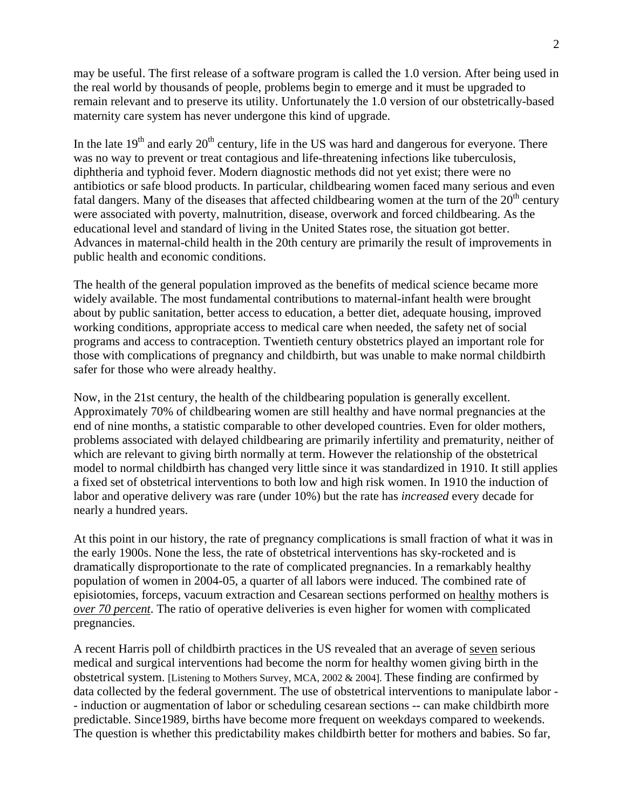may be useful. The first release of a software program is called the 1.0 version. After being used in the real world by thousands of people, problems begin to emerge and it must be upgraded to remain relevant and to preserve its utility. Unfortunately the 1.0 version of our obstetrically-based maternity care system has never undergone this kind of upgrade.

In the late  $19<sup>th</sup>$  and early  $20<sup>th</sup>$  century, life in the US was hard and dangerous for everyone. There was no way to prevent or treat contagious and life-threatening infections like tuberculosis, diphtheria and typhoid fever. Modern diagnostic methods did not yet exist; there were no antibiotics or safe blood products. In particular, childbearing women faced many serious and even fatal dangers. Many of the diseases that affected childbearing women at the turn of the  $20<sup>th</sup>$  century were associated with poverty, malnutrition, disease, overwork and forced childbearing. As the educational level and standard of living in the United States rose, the situation got better. Advances in maternal-child health in the 20th century are primarily the result of improvements in public health and economic conditions.

The health of the general population improved as the benefits of medical science became more widely available. The most fundamental contributions to maternal-infant health were brought about by public sanitation, better access to education, a better diet, adequate housing, improved working conditions, appropriate access to medical care when needed, the safety net of social programs and access to contraception. Twentieth century obstetrics played an important role for those with complications of pregnancy and childbirth, but was unable to make normal childbirth safer for those who were already healthy.

Now, in the 21st century, the health of the childbearing population is generally excellent. Approximately 70% of childbearing women are still healthy and have normal pregnancies at the end of nine months, a statistic comparable to other developed countries. Even for older mothers, problems associated with delayed childbearing are primarily infertility and prematurity, neither of which are relevant to giving birth normally at term. However the relationship of the obstetrical model to normal childbirth has changed very little since it was standardized in 1910. It still applies a fixed set of obstetrical interventions to both low and high risk women. In 1910 the induction of labor and operative delivery was rare (under 10%) but the rate has *increased* every decade for nearly a hundred years.

At this point in our history, the rate of pregnancy complications is small fraction of what it was in the early 1900s. None the less, the rate of obstetrical interventions has sky-rocketed and is dramatically disproportionate to the rate of complicated pregnancies. In a remarkably healthy population of women in 2004-05, a quarter of all labors were induced. The combined rate of episiotomies, forceps, vacuum extraction and Cesarean sections performed on healthy mothers is *over 70 percent*. The ratio of operative deliveries is even higher for women with complicated pregnancies.

A recent Harris poll of childbirth practices in the US revealed that an average of seven serious medical and surgical interventions had become the norm for healthy women giving birth in the obstetrical system. [Listening to Mothers Survey, MCA, 2002 & 2004]. These finding are confirmed by data collected by the federal government. The use of obstetrical interventions to manipulate labor - - induction or augmentation of labor or scheduling cesarean sections -- can make childbirth more predictable. Since1989, births have become more frequent on weekdays compared to weekends. The question is whether this predictability makes childbirth better for mothers and babies. So far,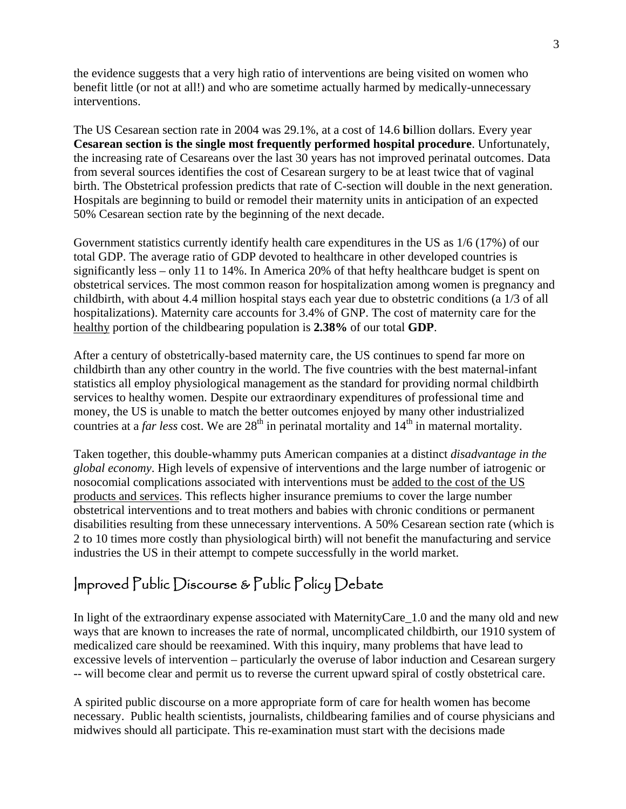the evidence suggests that a very high ratio of interventions are being visited on women who benefit little (or not at all!) and who are sometime actually harmed by medically-unnecessary interventions.

The US Cesarean section rate in 2004 was 29.1%, at a cost of 14.6 **b**illion dollars. Every year **Cesarean section is the single most frequently performed hospital procedure**. Unfortunately, the increasing rate of Cesareans over the last 30 years has not improved perinatal outcomes. Data from several sources identifies the cost of Cesarean surgery to be at least twice that of vaginal birth. The Obstetrical profession predicts that rate of C-section will double in the next generation. Hospitals are beginning to build or remodel their maternity units in anticipation of an expected 50% Cesarean section rate by the beginning of the next decade.

Government statistics currently identify health care expenditures in the US as 1/6 (17%) of our total GDP. The average ratio of GDP devoted to healthcare in other developed countries is significantly less – only 11 to 14%. In America 20% of that hefty healthcare budget is spent on obstetrical services. The most common reason for hospitalization among women is pregnancy and childbirth, with about 4.4 million hospital stays each year due to obstetric conditions (a 1/3 of all hospitalizations). Maternity care accounts for 3.4% of GNP. The cost of maternity care for the healthy portion of the childbearing population is **2.38%** of our total **GDP**.

After a century of obstetrically-based maternity care, the US continues to spend far more on childbirth than any other country in the world. The five countries with the best maternal-infant statistics all employ physiological management as the standard for providing normal childbirth services to healthy women. Despite our extraordinary expenditures of professional time and money, the US is unable to match the better outcomes enjoyed by many other industrialized countries at a *far less* cost. We are 28<sup>th</sup> in perinatal mortality and 14<sup>th</sup> in maternal mortality.

Taken together, this double-whammy puts American companies at a distinct *disadvantage in the global economy*. High levels of expensive of interventions and the large number of iatrogenic or nosocomial complications associated with interventions must be added to the cost of the US products and services. This reflects higher insurance premiums to cover the large number obstetrical interventions and to treat mothers and babies with chronic conditions or permanent disabilities resulting from these unnecessary interventions. A 50% Cesarean section rate (which is 2 to 10 times more costly than physiological birth) will not benefit the manufacturing and service industries the US in their attempt to compete successfully in the world market.

#### Improved Public Discourse & Public Policy Debate

In light of the extraordinary expense associated with MaternityCare\_1.0 and the many old and new ways that are known to increases the rate of normal, uncomplicated childbirth, our 1910 system of medicalized care should be reexamined. With this inquiry, many problems that have lead to excessive levels of intervention – particularly the overuse of labor induction and Cesarean surgery -- will become clear and permit us to reverse the current upward spiral of costly obstetrical care.

A spirited public discourse on a more appropriate form of care for health women has become necessary. Public health scientists, journalists, childbearing families and of course physicians and midwives should all participate. This re-examination must start with the decisions made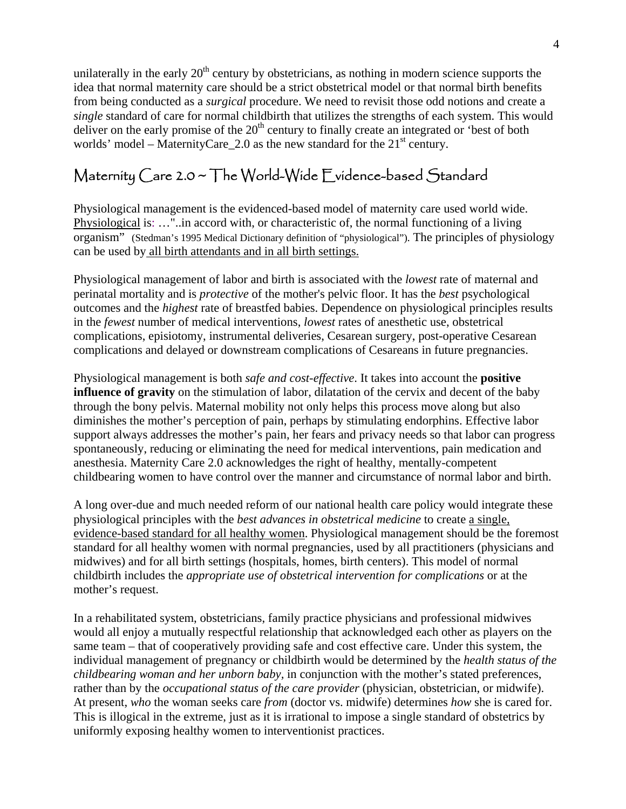unilaterally in the early  $20<sup>th</sup>$  century by obstetricians, as nothing in modern science supports the idea that normal maternity care should be a strict obstetrical model or that normal birth benefits from being conducted as a *surgical* procedure. We need to revisit those odd notions and create a *single* standard of care for normal childbirth that utilizes the strengths of each system. This would deliver on the early promise of the 20<sup>th</sup> century to finally create an integrated or 'best of both worlds' model – MaternityCare 2.0 as the new standard for the  $21<sup>st</sup>$  century.

### Maternity Care 2.0 ~ The World-Wide Evidence-based Standard

Physiological management is the evidenced-based model of maternity care used world wide. Physiological is: …"..in accord with, or characteristic of, the normal functioning of a living organism" (Stedman's 1995 Medical Dictionary definition of "physiological"). The principles of physiology can be used by all birth attendants and in all birth settings.

Physiological management of labor and birth is associated with the *lowest* rate of maternal and perinatal mortality and is *protective* of the mother's pelvic floor. It has the *best* psychological outcomes and the *highest* rate of breastfed babies. Dependence on physiological principles results in the *fewest* number of medical interventions, *lowest* rates of anesthetic use, obstetrical complications, episiotomy, instrumental deliveries, Cesarean surgery, post-operative Cesarean complications and delayed or downstream complications of Cesareans in future pregnancies.

Physiological management is both *safe and cost-effective*. It takes into account the **positive influence of gravity** on the stimulation of labor, dilatation of the cervix and decent of the baby through the bony pelvis. Maternal mobility not only helps this process move along but also diminishes the mother's perception of pain, perhaps by stimulating endorphins. Effective labor support always addresses the mother's pain, her fears and privacy needs so that labor can progress spontaneously, reducing or eliminating the need for medical interventions, pain medication and anesthesia. Maternity Care 2.0 acknowledges the right of healthy, mentally-competent childbearing women to have control over the manner and circumstance of normal labor and birth.

A long over-due and much needed reform of our national health care policy would integrate these physiological principles with the *best advances in obstetrical medicine* to create a single, evidence-based standard for all healthy women. Physiological management should be the foremost standard for all healthy women with normal pregnancies, used by all practitioners (physicians and midwives) and for all birth settings (hospitals, homes, birth centers). This model of normal childbirth includes the *appropriate use of obstetrical intervention for complications* or at the mother's request.

In a rehabilitated system, obstetricians, family practice physicians and professional midwives would all enjoy a mutually respectful relationship that acknowledged each other as players on the same team – that of cooperatively providing safe and cost effective care. Under this system, the individual management of pregnancy or childbirth would be determined by the *health status of the childbearing woman and her unborn baby,* in conjunction with the mother's stated preferences, rather than by the *occupational status of the care provider* (physician, obstetrician, or midwife). At present, *who* the woman seeks care *from* (doctor vs. midwife) determines *how* she is cared for. This is illogical in the extreme, just as it is irrational to impose a single standard of obstetrics by uniformly exposing healthy women to interventionist practices.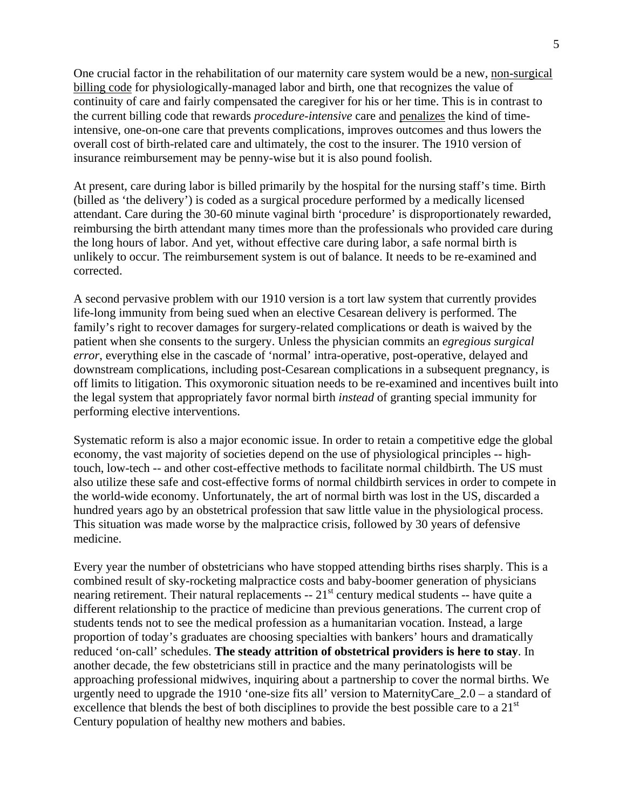One crucial factor in the rehabilitation of our maternity care system would be a new, non-surgical billing code for physiologically-managed labor and birth, one that recognizes the value of continuity of care and fairly compensated the caregiver for his or her time. This is in contrast to the current billing code that rewards *procedure-intensive* care and penalizes the kind of timeintensive, one-on-one care that prevents complications, improves outcomes and thus lowers the overall cost of birth-related care and ultimately, the cost to the insurer. The 1910 version of insurance reimbursement may be penny-wise but it is also pound foolish.

At present, care during labor is billed primarily by the hospital for the nursing staff's time. Birth (billed as 'the delivery') is coded as a surgical procedure performed by a medically licensed attendant. Care during the 30-60 minute vaginal birth 'procedure' is disproportionately rewarded, reimbursing the birth attendant many times more than the professionals who provided care during the long hours of labor. And yet, without effective care during labor, a safe normal birth is unlikely to occur. The reimbursement system is out of balance. It needs to be re-examined and corrected.

A second pervasive problem with our 1910 version is a tort law system that currently provides life-long immunity from being sued when an elective Cesarean delivery is performed. The family's right to recover damages for surgery-related complications or death is waived by the patient when she consents to the surgery. Unless the physician commits an *egregious surgical error*, everything else in the cascade of 'normal' intra-operative, post-operative, delayed and downstream complications, including post-Cesarean complications in a subsequent pregnancy, is off limits to litigation. This oxymoronic situation needs to be re-examined and incentives built into the legal system that appropriately favor normal birth *instead* of granting special immunity for performing elective interventions.

Systematic reform is also a major economic issue. In order to retain a competitive edge the global economy, the vast majority of societies depend on the use of physiological principles -- hightouch, low-tech -- and other cost-effective methods to facilitate normal childbirth. The US must also utilize these safe and cost-effective forms of normal childbirth services in order to compete in the world-wide economy. Unfortunately, the art of normal birth was lost in the US, discarded a hundred years ago by an obstetrical profession that saw little value in the physiological process. This situation was made worse by the malpractice crisis, followed by 30 years of defensive medicine.

Every year the number of obstetricians who have stopped attending births rises sharply. This is a combined result of sky-rocketing malpractice costs and baby-boomer generation of physicians nearing retirement. Their natural replacements -- 21<sup>st</sup> century medical students -- have quite a different relationship to the practice of medicine than previous generations. The current crop of students tends not to see the medical profession as a humanitarian vocation. Instead, a large proportion of today's graduates are choosing specialties with bankers' hours and dramatically reduced 'on-call' schedules. **The steady attrition of obstetrical providers is here to stay**. In another decade, the few obstetricians still in practice and the many perinatologists will be approaching professional midwives, inquiring about a partnership to cover the normal births. We urgently need to upgrade the 1910 'one-size fits all' version to MaternityCare\_2.0 – a standard of excellence that blends the best of both disciplines to provide the best possible care to a  $21<sup>st</sup>$ Century population of healthy new mothers and babies.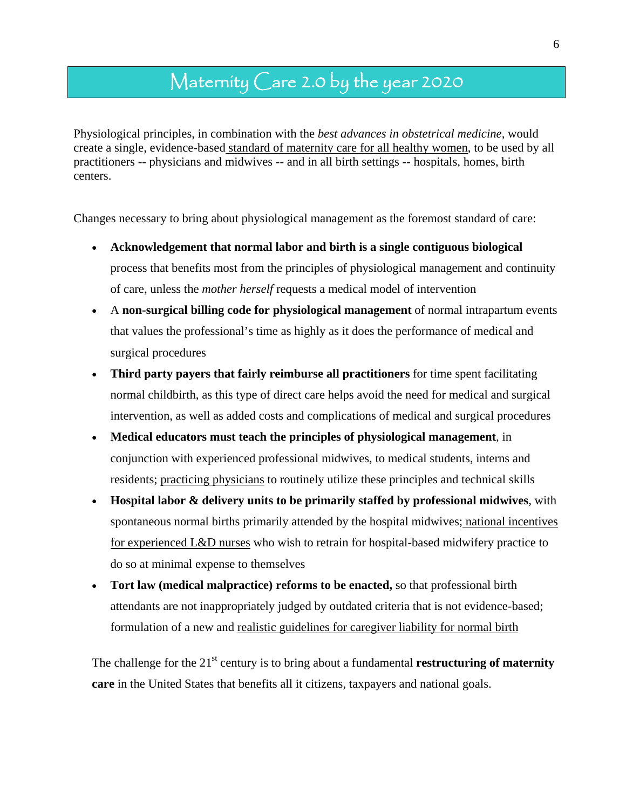### Maternity Care 2.0 by the year 2020

Physiological principles, in combination with the *best advances in obstetrical medicine,* would create a single, evidence-based standard of maternity care for all healthy women, to be used by all practitioners -- physicians and midwives -- and in all birth settings -- hospitals, homes, birth centers.

Changes necessary to bring about physiological management as the foremost standard of care:

- **Acknowledgement that normal labor and birth is a single contiguous biological**  process that benefits most from the principles of physiological management and continuity of care, unless the *mother herself* requests a medical model of intervention
- A **non-surgical billing code for physiological management** of normal intrapartum events that values the professional's time as highly as it does the performance of medical and surgical procedures
- **Third party payers that fairly reimburse all practitioners** for time spent facilitating normal childbirth, as this type of direct care helps avoid the need for medical and surgical intervention, as well as added costs and complications of medical and surgical procedures
- **Medical educators must teach the principles of physiological management**, in conjunction with experienced professional midwives, to medical students, interns and residents; practicing physicians to routinely utilize these principles and technical skills
- **Hospital labor & delivery units to be primarily staffed by professional midwives**, with spontaneous normal births primarily attended by the hospital midwives; national incentives for experienced L&D nurses who wish to retrain for hospital-based midwifery practice to do so at minimal expense to themselves
- **Tort law (medical malpractice) reforms to be enacted,** so that professional birth attendants are not inappropriately judged by outdated criteria that is not evidence-based; formulation of a new and realistic guidelines for caregiver liability for normal birth

The challenge for the 21<sup>st</sup> century is to bring about a fundamental **restructuring of maternity care** in the United States that benefits all it citizens, taxpayers and national goals.